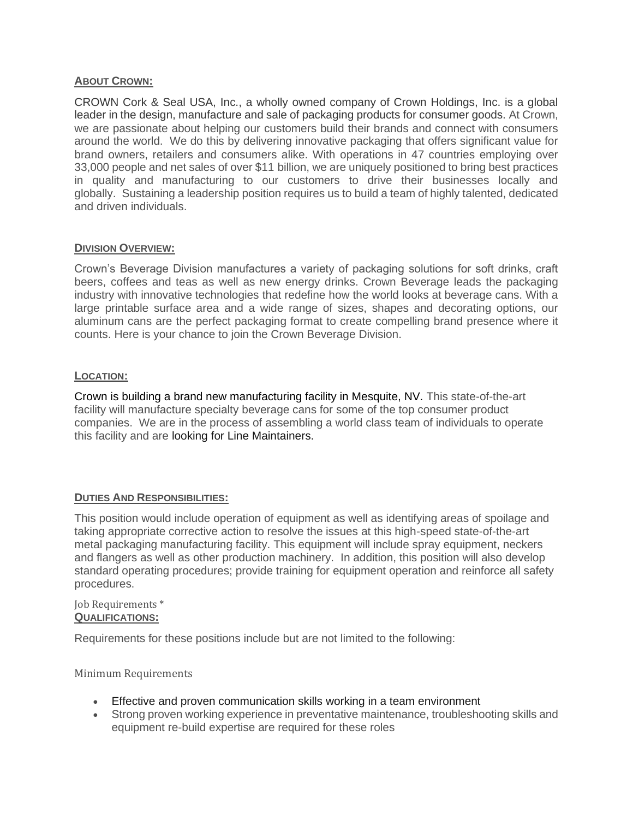#### **ABOUT CROWN:**

CROWN Cork & Seal USA, Inc., a wholly owned company of Crown Holdings, Inc. is a global leader in the design, manufacture and sale of packaging products for consumer goods. At Crown, we are passionate about helping our customers build their brands and connect with consumers around the world. We do this by delivering innovative packaging that offers significant value for brand owners, retailers and consumers alike. With operations in 47 countries employing over 33,000 people and net sales of over \$11 billion, we are uniquely positioned to bring best practices in quality and manufacturing to our customers to drive their businesses locally and globally. Sustaining a leadership position requires us to build a team of highly talented, dedicated and driven individuals.

## **DIVISION OVERVIEW:**

Crown's Beverage Division manufactures a variety of packaging solutions for soft drinks, craft beers, coffees and teas as well as new energy drinks. Crown Beverage leads the packaging industry with innovative technologies that redefine how the world looks at beverage cans. With a large printable surface area and a wide range of sizes, shapes and decorating options, our aluminum cans are the perfect packaging format to create compelling brand presence where it counts. Here is your chance to join the Crown Beverage Division.

#### **LOCATION:**

Crown is building a brand new manufacturing facility in Mesquite, NV. This state-of-the-art facility will manufacture specialty beverage cans for some of the top consumer product companies. We are in the process of assembling a world class team of individuals to operate this facility and are looking for Line Maintainers.

# **DUTIES AND RESPONSIBILITIES:**

This position would include operation of equipment as well as identifying areas of spoilage and taking appropriate corrective action to resolve the issues at this high-speed state-of-the-art metal packaging manufacturing facility. This equipment will include spray equipment, neckers and flangers as well as other production machinery. In addition, this position will also develop standard operating procedures; provide training for equipment operation and reinforce all safety procedures.

#### Job Requirements \* **QUALIFICATIONS:**

Requirements for these positions include but are not limited to the following:

Minimum Requirements

- Effective and proven communication skills working in a team environment
- Strong proven working experience in preventative maintenance, troubleshooting skills and equipment re-build expertise are required for these roles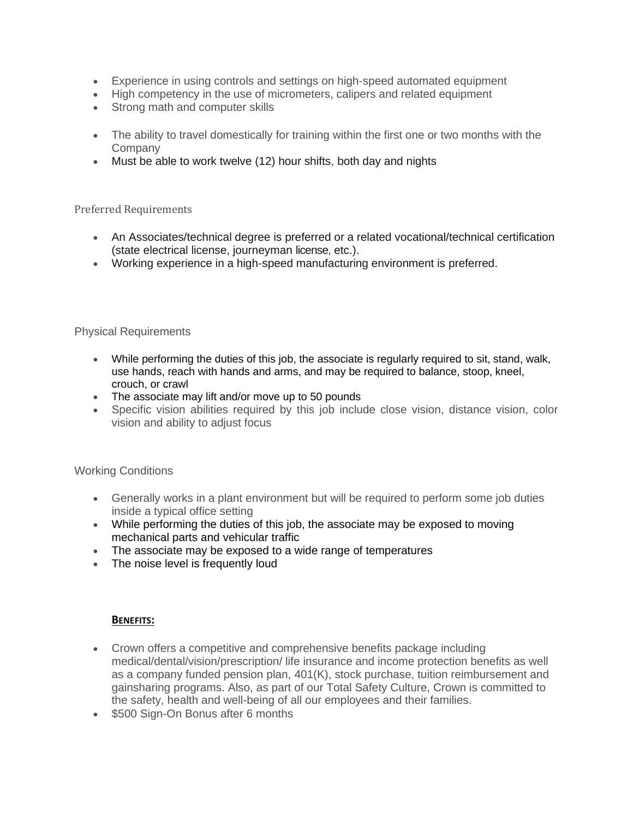- Experience in using controls and settings on high-speed automated equipment
- High competency in the use of micrometers, calipers and related equipment
- Strong math and computer skills
- The ability to travel domestically for training within the first one or two months with the Company
- Must be able to work twelve (12) hour shifts, both day and nights

## Preferred Requirements

- An Associates/technical degree is preferred or a related vocational/technical certification (state electrical license, journeyman license, etc.).
- Working experience in a high-speed manufacturing environment is preferred.

# Physical Requirements

- While performing the duties of this job, the associate is regularly required to sit, stand, walk, use hands, reach with hands and arms, and may be required to balance, stoop, kneel, crouch, or crawl
- The associate may lift and/or move up to 50 pounds
- Specific vision abilities required by this job include close vision, distance vision, color vision and ability to adjust focus

# Working Conditions

- Generally works in a plant environment but will be required to perform some job duties inside a typical office setting
- While performing the duties of this job, the associate may be exposed to moving mechanical parts and vehicular traffic
- The associate may be exposed to a wide range of temperatures
- The noise level is frequently loud

# **BENEFITS:**

- Crown offers a competitive and comprehensive benefits package including medical/dental/vision/prescription/ life insurance and income protection benefits as well as a company funded pension plan, 401(K), stock purchase, tuition reimbursement and gainsharing programs. Also, as part of our Total Safety Culture, Crown is committed to the safety, health and well-being of all our employees and their families.
- \$500 Sign-On Bonus after 6 months